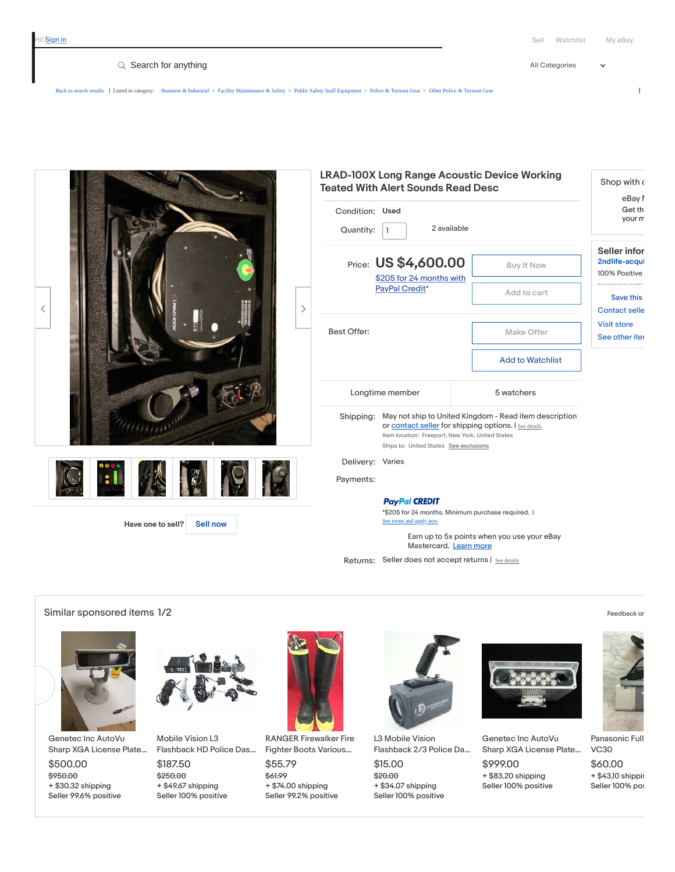$\ddot{\phantom{0}}$ 

Q Search for anything  $\blacksquare$ 

[Back to search results](javascript:history.go(-1)) | Listed in category: [Business & Industrial](https://www.ebay.com/b/Business-Industrial-/12576) > [Facility Maintenance & Safety](https://www.ebay.com/b/Facility-Maintenance-Safety-/11897) > [Public Safety Staff Equipment](https://www.ebay.com/b/Public-Safety-Staff-Equipment-/183853) > [Police & Turnout Gear](https://www.ebay.com/b/Police-Turnout-Gear-/183855) > [Other Police & Turnout Gear](https://www.ebay.com/b/Other-Police-Turnout-Gear-/53294) |

| $\langle$<br>ゝ                       | <b>LRAD-100X Long Range Acoustic Device Working</b><br><b>Teated With Alert Sounds Read Desc</b><br>Condition: Used<br>2 available<br>Quantity:      |                                                                                                                                                                                                               | Shop with a<br>eBay I<br>Get th<br>your m                    |
|--------------------------------------|------------------------------------------------------------------------------------------------------------------------------------------------------|---------------------------------------------------------------------------------------------------------------------------------------------------------------------------------------------------------------|--------------------------------------------------------------|
|                                      | Price: US \$4,600.00<br>Buy It Now<br>\$205 for 24 months with                                                                                       |                                                                                                                                                                                                               | Seller infor<br>2ndlife-acqui<br>100% Positive               |
|                                      | PayPal Credit*                                                                                                                                       | Add to cart                                                                                                                                                                                                   | Save this                                                    |
|                                      | <b>Best Offer:</b>                                                                                                                                   | Make Offer                                                                                                                                                                                                    | <b>Contact selle</b><br><b>Visit store</b><br>See other iter |
|                                      |                                                                                                                                                      | <b>Add to Watchlist</b>                                                                                                                                                                                       |                                                              |
|                                      | Longtime member                                                                                                                                      | 5 watchers                                                                                                                                                                                                    |                                                              |
|                                      | Shipping:                                                                                                                                            | May not ship to United Kingdom - Read item description<br>or contact seller for shipping options.   See details<br>Item location: Freeport, New York, United States<br>Ships to: United States See exclusions |                                                              |
| : 1                                  | Delivery: Varies<br>Payments:                                                                                                                        |                                                                                                                                                                                                               |                                                              |
| Have one to sell?<br><b>Sell now</b> | <b>PayPal CREDIT</b><br>*\$205 for 24 months. Minimum purchase required.  <br>See terms and apply now<br>Earn up to 5x points when you use your eBay |                                                                                                                                                                                                               |                                                              |
|                                      | Mastercard. Learn more<br>Returns: Seller does not accept returns   See details                                                                      |                                                                                                                                                                                                               |                                                              |

Similar sponsored items  $1/2$  [Feedback](https://connect.ebay.com/srv/survey/a/merch.algo?ctx=itemIDs%3d153440485476%2C293763416919%2C252919869322%2C293717952449%2C132398442344%2C233720823586%2C164423578976%2C333745204886%26seedIDs%3d164444185377%26plmtID%3D100005%26pageID%3D2047675%26impID%3D4efd969b689b48d19d0aa558cf33e981) or



[Genetec](https://pulsar.ebay.com/plsr/clk/0/SADS/9?pld=%7B%22mecs%22%3A%221534404854764efd969b689b48d19d0aa558cf33e981%22%2C%22ampid%22%3A%22PL_CLK%22%2C%22enc%22%3A%22AQAFAAAD4LxxlHRT3Pt1QhdsAznJlKdDUAonJRsOLLB%2Bk%2F%2FDeAmjug5c72VhK3UTLtgJoH5UcnItCVwiLa9PoGb0oUH9tPi3ri6SXT9dyl5iq9%2B2P%2BeUKqn0IxHixe08T9B72tC7lzTLMWkTjcMjXYEzCRLTQpwMo7W6Csvo8Jwf9qg07Gou8aFtbSZyPeeyy2%2FQ1l9YHLCQr%2BGJ7E%2FxAZpTr2houNezyFyAOgokcjJlRIKcjkQ52kLyMxEp9yHQCOms%2FSmD0i4%2FHRirgCH3wOA6p1n3q8Ew6nGOG8KyG%2FcJnlDZWNh47Q3qNRTf486YhMcamXrESy9GosP5JQvnqds5uyRi8Vi%2Fnhjo1SQ2yJXYfiVjkd4cskn4l9lc1hcMZOVJMop3A3C6M8t8bsJ0MIUyCSKHpMC%2ByKrV%2B35Z%2FYOW7AQ3bW1K8tEZkRWVyk8LO5nmjGLT5BLKUYyUdqzWjTsVvi%2Fo3WxQeraSWycIzxy5kj%2BWfNrnDKYZ6FG8md%2BV6pT7%2F1vJ4%2BrTmc6XzBpFpxbT80rrcFD7Aq9coni1kn%2FA17Ai%2BFLJWrO8WL1%2Fzb%2FK8CKHtWBQBwZtqAejHRq8qXK75YFfLk7Ayl96LtY%2FiwF%2BiblNJ5QF%2FSI%2BPbaKA1LYyHJYNpb7xp02plkaTjSzc%2FpCXbzvawIS2CAKdNFK2%2B6u4sOKdmX2uwxspLKPNXiT8Xg5QDnQKyr2DS%2B3Tk4dDtK3D3UteaVqYPJ1SkN2vNscYna6BdZfB%2BwoDiIgc4RUD9ERfPJqxwdWt%2FaX1sQT%2BfYKAaKbT0PNub2JYtjzIFMxApCPfdAQhQ3Erp2BAT2tvXlXdhVmnpUlgJfAd1DSUKLFucHuzf4l%2FzboqyU8WyJdXCK%2F11kl7w4a%2FUXf3T1GZRTv4Su5%2FIepLvD2sW8u1gaUocrL2E%2B6LOJMec6QME7y7Y%2FvUXMC4jdEzrjs%2BKkngXBQeKOEvtg5A92o1gbkpYwT7XnQ7rMU2Ycyo3Y9gPmNQizWHb2pym%2B%2FP6jK4I979KHr4zTroFc9wmwTg1c0TplCStIDtcTFdZU1otkQTTE90onacPd%2BLNwNknvNuT%2Bh4qNe4OsVopBmf08g3AgroYaPCh%2FmB26s%2BOA22%2FHLJEwfbUKVflN1azIuUb4WK8mYadYxwXZ3i092xt8SlGH5CtG%2BWflXvOehkYNiiSKqKmYtrb6ojgLNubw4FgvCh6nDb1W36kTCQ6O2MzBfVfvPX4kXAAfWzmeV7O5JtlbJLzAZml22h1v3n8NhDGV7r4DfYypNe4tGZt0bbYWLJ8d15fgenJvb0akABVFIKtDK6IGiijygDVJk%22%7D) Inc AutoVu Sharp XGA License Plate…

\$950.00 + \$30.32 shipping \$500.00 Seller 99.6% positive



\$250.00 + \$49.67 shipping Mobile Vision L3 [Flashback](https://pulsar.ebay.com/plsr/clk/0/SADS/9?pld=%7B%22mecs%22%3A%222937634169194efd969b689b48d19d0aa558cf33e981%22%2C%22ampid%22%3A%22PL_CLK%22%2C%22enc%22%3A%22AQAFAAAD0BR3TEM5XM18ghyJhyJo5%2FoUAa330Y8sQNoRCCwiYAiCuJ8YcWgRaT2mHSRsecHFWmqnUBDul6Kk4q85mN9sLqcxuuElxsTzDJyJXvS6f%2BRQBRhUxXhdb%2FmAOw5nbe7fiMpl%2BtRpUE0eYbrML7IK81dLDP0mH2hICI8IeULJaHEaGzf6PGG%2FZkaKBWeAy8GXRStp0FL10VmUyIV5zA7Jskcms9EAacZ3IIcwIUhHQLWxRvMnt9h7ifTNeEE%2B74hvjkzaqdXi28c04RfsuXCu9eos2QNbM6DBpD5o2gdxlRSJ%2FYZmPMdFnZf1BAu%2BDt%2BovMGmgvv8nT1o97vGGDSaeUxNj3uWSUTnyejV1rt2y6GpcRmsBDEsQCor2NUMHh34%2FzWjd4jI7aiJQiH1c8uRJXVvc3Ddd2DFe%2BqxoTu3w5FxM87PaDs%2FxOXPylJGtUgAY6wD%2FHpPdawNfYInJ816L7E7i6IdNiRAD9NWW3ZQ4vZtNkZah93aPJ2EJRvuMsA6iQD%2BQZZEq9uadZoAfrYFt79VqUqsRDdDBNS%2Bfl%2FnC03bKw3dpyfyz2O%2BWm8lD1D7aKu2RsWqY0GccTW%2FKmMo8EsW3qkQmcjvqewLY%2BaaQhJaGm3VD%2FvpiHp3P3fTvplDTMttEQPrS1hRhUKhqE0wQEyZsxidrj354OuLnWGqKzdtwDy80zQx1p0LYTIpLszLNSozidgUnX83xXEjl4VKpoHEBDfkULIHwuXFOgZhT0hCoWLJlFfewtdTJFERe8JEeIzr84d%2Bb%2Fr5b0QeN5n22EwOWjQPNH9zpB%2BbSUiozG7Npkk%2F8eM%2BR2E%2FXg%2BcQ%2Bmb3MB%2Bh%2FzYHt3KyP2rqj7lYEBDHaCPs7Ttq4AE6noKSY37wJWSDCARQA3eD%2BBIpo4%2FYemA8vQA%2F8ZgQML15UnbMCTLNg3LKZVdq5gu%2FesvuRnMVN7%2FrjZQyN1G9mcbL%2FOheqH%2FOPyPgNscyqqv%2Bwk%2FMc6LDDnE1pDJunwDhvNIDE0pOFA57pIH6Fsd6ZO%2FMIt21vKSLhT9ghLAF5iJstPSV8Sq5zXRMJ%2FV6tRDoirBx14ebyXPvRa5AAu980ORIuLLX9KYBNYO%2BIjPFwyjt6GD7UfhhPYGbP9%2FDHVHn57A0TIS8IJ0yaoNpyJNJJb9hktYiy1YPurnZFve%2BDsvmznknWxPCcqY26ZffaCrbX0XdGugXVSV4ur3JLuZl3pgIjTsl%2B63Zda05IiHornQfR5DbYfMuVCgsbTOZl77VTxQtKHMxXSpmLH6mwmBeow0cRd8pJau5VyuyiFUVseOGRaGVsU%3D%22%7D) HD Police Das… \$187.50 Seller 100% positive



RANGER [Firewalker](https://pulsar.ebay.com/plsr/clk/0/SADS/9?pld=%7B%22mecs%22%3A%222529198693224efd969b689b48d19d0aa558cf33e981%22%2C%22ampid%22%3A%22PL_CLK%22%2C%22enc%22%3A%22AQAFAAAD4CtX3X8mcVAs5SC1kBWzwLzkMV4gVa1ZEdD6UUNvpw9n3UI9zn6b7Hms4BSL4hkfWuevwORTD09ksVucqOgQcSwL4G%2FvzchqcC2ucOD5LikhzEZmWMUAaR1smqk4l8ZPrfg79AI4ymYbvn5q9qo8cFXr5O7%2BsyWa0KkPSWEYlxY3hDJ4CHTVXcVgZknk36pQKlp%2F8SIGq0rhF12RBYkVn2HcjbmtpxnfsT%2BW4d%2FJNT5fsGrZmqEUtI2tZtQgZfanzhBG5hDF7JuHzRtlLsM5P1IFrQDFFOiDuGzUOYmbWxc3QKuBBJWac%2B202jGOiN9UlJpaXmRwV4BpCltOBAvB3%2BmBWf%2BKICgMD0BTGXLdBecGCuw3wek90b3wvKTDBsJ4BD2aTQ1zE6Ag8ac77Qne4G1EWEumcqYLmQiGNahZEiHTf028%2FtDsnE57LUJx84QCCCh%2BmcrN%2Blz7dpY8HBN4cympzjC9IeXlgXbnVVebsXx5rrU85QosnDM26HV8WWqGm0neQtOJownFIROwBRqSUSkobs9W4ppslg74jNS6ki4fCEX%2B074jZsy9EcwEqw4BKURTE4Tthak84o91HoiAU5iC806Jj0AAJJi6w8FwpVBDpBjfMTamzZVFoYZzF6T4Lr0XgsSeifg8k3dNgyg7y%2BsquZgL7D1YsXrAbfeC%2F%2F1CLFTLyyGwoCEnnDP7lD9lmoJ76%2FJU2qqUjdxwIRuGDCGw5J0r9ZiGQTyMOxHAdRKFCP4NNKyOWTFLtgQIlYXr17H6L7sRKRNtX3Tx9I8Z3BSspmns77SJKBgltizJ9vLugmyF9UChQwd1VqaETKLZS8uV%2BzCjZRkaVmtZNIcGe8LHu%2BeVBv%2BdM09IxeUGy7LpDf40mkDzGgh0Pd8fwy6YV3d7hvGevGEM%2BcF1yxE3hM6LSe61ZkVcZ2q%2BcOwOu%2BV6ddHVbzUaFfUyKEGP99sqrZaXtQ%2BVmuJmuoy6x8sTIal7YIcjhQob%2BEfdBDsyJ68p84xi0%2BNHlfDexd8y4L8V4cLFCDKQhMsakdiZitBtVbypuinvRIF2uhA3iody3%2Boj1r5DPR%2ByBUbv%2BzMt%2FMCZQuYbt99xz7XjWhB4ekC6tzTOBxz3G%2F4URKAcQRkXrd%2BJGGz0z4Hx%2FFBA2QGAa2IVXy4A9g3wkq82%2BloHMvdRev%2B%2B3ycnO8EHvo9HFGAvWJPW9IHCF8F3TVLaHxUEx70VMhobS3fZN1WZ5zFGCp0o1LI4YFhR%2FEC999Tz39CHkjvt396hOv4e7KQaUmd%2Fn3xONl31V4IdfqtZsfmaS1VSFzE7CxIULedOBy9rULz7SEuU%22%7D) Fire Fighter Boots Various… \$55.79

\$61.99 + \$74.00 shipping Seller 99.2% positive



L3 Mobile Vision [Flashback](https://pulsar.ebay.com/plsr/clk/0/SADS/9?pld=%7B%22mecs%22%3A%222937179524494efd969b689b48d19d0aa558cf33e981%22%2C%22ampid%22%3A%22PL_CLK%22%2C%22enc%22%3A%22AQAFAAAD0NhCMJ9rbDOkNgM%2BBBnjnvUkCt5k9G9%2BcScqpl0Hqbs6oVZm4FpKcEjun05I0Fra2ztYJ6j5yxrjdlo1pjQSe3vX0Bqe8u9RBRO7W6JFCnDIB9aSyjePlUtu6Lsb0Pu6h3J9afK6jUWs5ObqqUOuDo%2FIUrzqolJXCp2v6br9AshtJ4ZhX2h5BPhKUMl0KmTQeQfTPCxAh4r2g4nWEUjwxXmTLXem6pACoT4cDMafbbtx0ZjbcbCzCixw%2FMMCSKY9vcAvoQhbTqi5C569zRdbm9Elk1RDfIiXn%2BqtgsLxv%2Feyt%2FI4qO7ecLNfT1L8GY%2FsKbWbGp7OYv7Ssv24cN%2BEC2hMxCPX9Nl0hPOI1bjhwQW%2FLooahgkdNKCYAPv4RHFpefwe7StsJmOpdN31aqe3TSilURf1BkvD4TJnbb%2F7v8YuHNStbHO0Y%2Fjt%2BJnzWEHO6VIA0RlqV9JAMRDjSzRBh5zfefwJtlxh87YJUThFQ0bl4UXAmPqAyGBSTdDAXuwL%2BgHkqymJ9wpAH5tR47xtUf2tBvZu2uFcWCQx%2B06agTyewVQ8eOYp5e04HxP0j%2FP6AfRmBeCH4mTrs2yxujMbpj19oV5HF40yua1VozOsW%2BEXPoqpTl909Wp2eVHcAwjxKu5sADoY47b2FBznb8cxdd2mrkZxDAOXaihsOykLjLxaq8ceIvCOjls0rjPyQLbnWailuNHiNKwiO0IEvwj5ERT4z45iM1paTm2FjlVHbohSw6PlUZ3kFkl9Tj765uKji%2BXUQEqD8QMFvjJX3hQ26mHvWr4txwTVk5IqFyoB15ydW8BB6CCMTSqHWF%2BEkyUFFE2xGe238OOqBR6e5ZV4R%2FttpyvGsNmXG3DOCeBQaH%2FwkfYNvv2gVkybf780jS60Kmal6pOPu2J%2BcnvUxq5jmjWxVdz2nLm7AePEPSjHkhX49FKhRet50XcbBLQxcCyT5lR2NDkrTVAYd%2F7PNKAvn2W5r26qvzSiNF%2Bpf8sWs46EGvKywS8RABHZJXCGM7vv3dleqKIbLKCrWCxrLYv1jJOmiucG2ZkNIcM0%2Br07beS7OzI55wo7PQHjjUUxKL5p4y5S98tsjGXRO3HdZB5I%2F6klD46H0giTLuI4Y%2FKXTJtnL79r%2BEe8Yla3WBMTaTbZzEl56slrOHyvrnjVJf0lSsKRtW4gxwh16ciqGL05dwt84ic%2BzptTDOhB%2Bpd0szPYxrlpOBpormTGifx8Swf06lCnQvTlVI2joTF6Yj3SRRHru%2B%2FiHBPqCi2zqWXXa2rDy9x8Np8cOR6XoNhkYUYsSM4%3D%22%7D) 2/3 Police Da…

\$20.00 + \$34.07 shipping \$15.00 Seller 100% positive



+ \$83.20 shipping [Genetec](https://pulsar.ebay.com/plsr/clk/0/SADS/9?pld=%7B%22mecs%22%3A%221323984423444efd969b689b48d19d0aa558cf33e981%22%2C%22ampid%22%3A%22PL_CLK%22%2C%22enc%22%3A%22AQAFAAAD4IcTP6JuTe65e1k56yVxgxzcl4OSgqV1xomLTSsQefoHxspeH0LH4nOe2YGFhII%2FL8E%2FK0U2cZOEkUc4%2FNtZeE7Gk8iNKHnMujmHDrWTzVHzUQqXg25swv9XlAy5nbmecSMjsNXUfp%2Bg%2BlIHfc3C26nHJyOqKtwzqUmuztzkeCX173984s8uvvYvLYLDsOu1LN3zuoLhEUOJyK04NH3sFbMvSq8j9yRDgAAXlX5lt1mdAxOOKMl38qojHCqT4fN191%2FVN%2BT5y3gm7EJyYjQ6QmY8cM2LENPoOIfMxBUEqTMHAIsshJ9t9Emi88Hg94%2FOTCa97Vs6R%2FndQugV86ozv%2F9%2FGp4CHEmtVVCms9PusTOItcOS8Hj6Q5DhbzuHXGQEBeViY1srxjAtyWlOgNxEApu9MGbuCK3XEjyaTpPtNa4RiBUukaiY%2BG1V%2FUSBMPwVUN2eI8Jg7618ho9I2ro246w%2BMxiiys2LRh%2BdP5hNSFslGx6M4iiRPLkg4wugBdSUOP%2FQfpoZm47wihe9TbFCr3zTCFCBP4HigzYjpLTw0nK4bjkNxQyZ%2FY4bDXjx2a9GoKa5BswwjqdoRlO94ivvM0k%2BgyvCKSMsRfz9zt4TlB16YRZ0D%2FRBHBiK50TxazSOM4bV%2BkDWJGogDfE6GSKCmfH1eYHLuWqoEeGaoqftPNfwTmzMy39FyVGPludUcugrnxRxa%2FunIhdBuD2lbBg1nVU7ye4ardGvhxGL2BiE%2Fzn1yIpbeA2yRBH8lYv2aE%2Fd7Upjk3wOYa8XURQDzwROT02TcAsJiyfS9d9HwtXzcjouFaVdOqThNa%2FYRRZ91Ms%2FCDUpBxcoZ3s5%2FJPWERhqlkOoy6gITFNNSiRoNA8CZ9MjfiPZuwOPlO5h5chCVXxJUwRDJ5jE63XMM%2Fz02mhwwIxyh2KPBTeDuxzde8R%2FzM7xkXRIr1jKakVznZQR3WMVbpiBic%2Fy78%2BrvvlMUvQp7dww%2BKqIgqHaRKaiyjw7cd%2FKvTKaKxEKbeG9%2FwSiuE4Kq0fMma7UGByXOyYRWZlyQxZnNlDO48PXgOLQZoCYXp2phk2A9Y8yj5WA0sx58upPwQS1i0BYetC7N0BpAEmok0XmlNLT7dYyFtcOpOarRbV4Neb2n5PZUgI7EIy5ftCuQYrCzWuAUOBG6gWGIsPgXTv5zYgWtN%2FXCCuOJiU9NFxU2bX50AUdB77YMVfEs6JrKhb1Q%2B%2FZVUU8EAPVsGoZVsxtZeKAOo%2BOIw8QZ8Koss%2FaLq7ghPPX938tkzoUdEac4l1HRoXFMIBVzXdi7V59ng45Cb8Z0dNk5dxvmDNDVC3U%22%7D) Inc AutoVu Sharp XGA License Plate… \$999.00 Seller 100% positive





+ \$43.10 shippin \$60.00 Seller 100% pos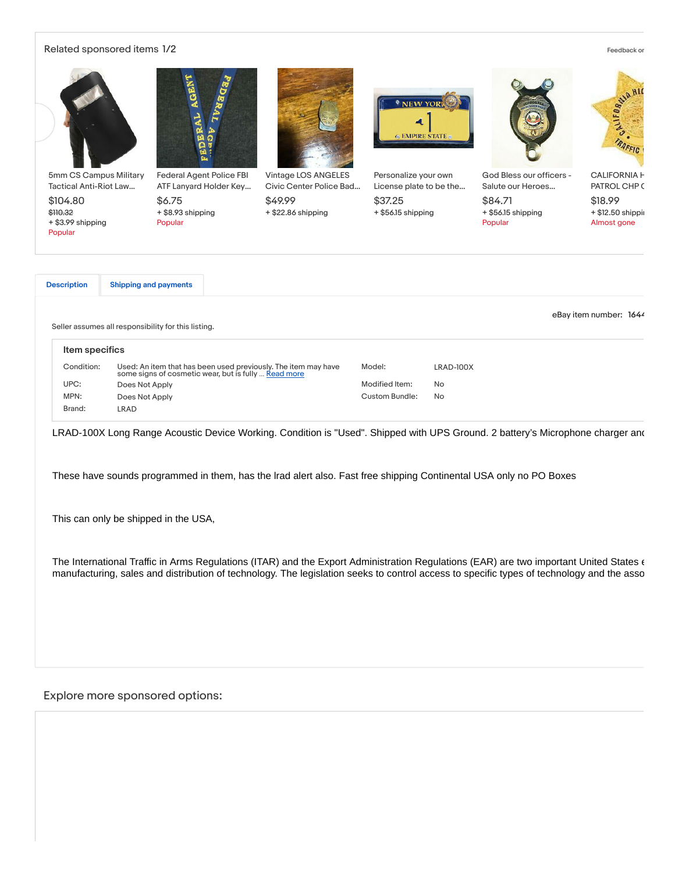## Related sponsored items 1/2 [Feedback](http://qu.ebay.com/survey?srvName=merchandising+%28merch1%29&extparam=pageid%3d2047675%26plmtid%3d100008) or  $\blacksquare$



LRAD-100X Long Range Acoustic Device Working. Condition is "Used". Shipped with UPS Ground. 2 battery's Microphone charger and

These have sounds programmed in them, has the lrad alert also. Fast free shipping Continental USA only no PO Boxes

This can only be shipped in the USA,

The International Traffic in Arms Regulations (ITAR) and the Export Administration Regulations (EAR) are two important United States  $\epsilon$ manufacturing, sales and distribution of technology. The legislation seeks to control access to specific types of technology and the asso

# Explore more sponsored options: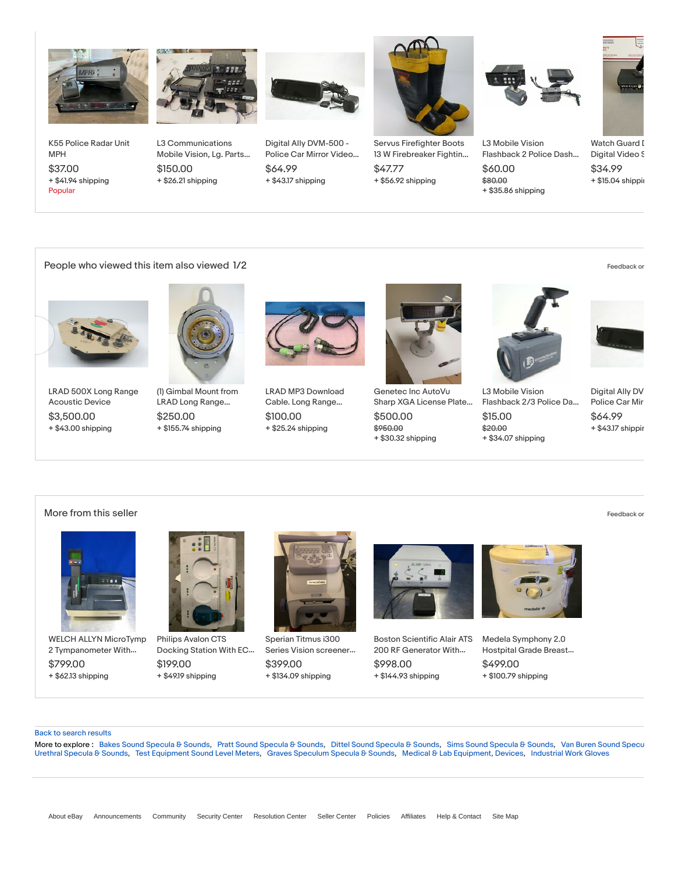

+ \$41.94 shipping K55 [Police](https://pulsar.ebay.com/plsr/clk/0/SADS/9?pld=%7B%22mecs%22%3A%22333391539019d6dd4c7c0b934eaa84448ba434c58950%22%2C%22ampid%22%3A%22PL_CLK%22%2C%22enc%22%3A%22AQAFAAADYGdBZBa9Q5u6Fm3n25pdPnVOKgAQmTS2Yt3TYulv9s6SzpkD0SiHKdMFuNNFuZCaOxzXdK9iP%2By7TmiTlhFwasRhIz5gdjs3xspwkojezXRq3dpFfmEruvRb9W5UW0CN5%2FLy8nhYWKzy1R%2FYm7K2xfmWpQIfCyElvhWn03aUhhcY6HpCui4IRBMeNkUZXH4a7LkDeHmlAZqYapJVzq21WBHdzUZUUr%2F0r4yT4%2FXOr9aTDIbGlvOsVGcxr7PXNjz9A1YdHJrFn8hCumAPQTt0oxAF1UkT%2Bh%2B52Ss%2BF1EaJG5bcel%2F6c05uFKOvsM9zTgiIW0JP9sZZ%2Bhxcumb8R%2F39tVBskZQ8CJuQ6oODtxqFV5kIsqZS4Ny10VgP7uLdffRsAwFhyVXVOhRL0RuniewkUsNpMjNvy%2BpQuhIBzszoeVEcGdQwp1G2us8BAeaSySahznozpT%2B2NS8w7femPLbW8nTcXDymYOxXb7vvNgDsayFg%2B2P8Y7emhhzO2uKQQjLgaewDFsl8ibboGflqtovGDrczuh4K9MlWa1IiOkOWEezPHDoGiwaYLhygphEIMe7iUN1f49h1z6xhozswHQ%2FGrzoiOeiWDKkgQKY1yXl5VY8wUyIIYWXEdffqNpy2Tq5P5eLMmdDUBDgxvw8gbCFzTgNMCiQNvoDjj0%2F9bDWnNWyMCYzx5MlhGT6VvZeSetdMOiJkWEewDi4Bi141kwSpF5ywZh9V%2FjyA5LSYAIVD6yV19ftGSHnnSsqntKsaEtq9X%2FbGKdin6TzDPxBUjCWOOhZQblKE6DsnIQBJlhoEjvuMOJ3qBkb%2BZK43hoF9VWR4TeGT4%2BKrIiVu89PEu5Do3UZkLwQx1B46iUnpZixLq0p8klRMalBZnRxgsrZgdRtYHNzjz%2BGokUYJD9xYZ5cjgMCIYaR4bgGZQZGQ2EduFj9N66s2ud0wEE9235qdwPmbO7XNzIPCN0sRcm2ZWvI4atLsxmgj3roy7kXJeF%2Bb8voP8Cd5vZ8q0C7KT4eNXfGpaYnLaBd8KGMXOTp4G2wefIJWyDtryAnh%2FS12FCCkUFi3VcGjIKEOtyOHfZhx%2BCK2hYEjgovREmBz8goHhvQJc5mHeXQPqtz2uEGlxtgrVowXLPkXm3Yv2hZS8cyUQlTJQ%3D%3D%22%7D) Radar Unit MPH \$37.00 Popular



+ \$26.21 shipping

\$150.00

L3 [Communications](https://pulsar.ebay.com/plsr/clk/0/SADS/9?pld=%7B%22mecs%22%3A%22164152191658d6dd4c7c0b934eaa84448ba434c58950%22%2C%22ampid%22%3A%22PL_CLK%22%2C%22enc%22%3A%22AQAFAAADgJVGvI2sfb5tpN7jtFx8Z06dYO8tzmP6AJ%2Bit9VTtuo1zRDAJ4hcFS1NGv%2FGfttyWePBi98bnj4I3jJrROR1AglvsN1igJv4uk%2Fq5RSG1E55R11fqU0mdyvHXJF0mTsdFn833vzc2IJPnPeCNjSfoVgabbJTXZBVJbkrgAkitqmzVuRDQ7tfgPt2wYfjJMHAo06N8wDA%2B9pwggHNYqb1Xoi36pjbKuoQ%2BC2yc%2FMhPC3FKkNkccWrs1td23MdAFS%2FpUf9y%2BPvmyYtUwETSHf9JCyXS9UoN8dsLbTCiWbHlyxsQRcqGMEP0uSYqrISe8GBOQB61zNdThINWqqwI3GxDgHUqL4sdcqrrcow17SoMvQ2lBz7ta2yB16G23rgL4DZ53nw%2BwfbtjmpOiL5biQIb5NFgNm9Q4%2FIASFvrd4thfYTpgtzfuULCszpAReAgCejP%2F7BbxHOVpzPcbbqKyLsRNlfuPoNtJ2%2FPQiNNehj%2BqooJ6XngbPvwwJXqZCXC68irp4tQd57rO2fuedv3RefQIbeTKB2MnfH4Uf6bRZkcz1CQdvM5T2Xycj9Cwx4Vcgs2RC1cFYODdOskCPhx8lxNOa9FhiouekHXcgBG1hoPQ8ex9AmhcYWc8jI8DOojuhcXNUue%2F93ml5fDJzfF7MtX2AeVdlHyPBtWy29AzyUwDhVwQk%2FDkItgdXFLPX7sp4PqxkRRwj9e2YDon6GZilYewG4zMHObrmorgD3X0eRa9FMZIM4HaVoSpZ2ukvQ3rXSwFzeFJSTyJA9%2F4EqfWemrJKYMAvK6mSFsT0EvB7CU0FKK7xi1k6hMKelNOpJlpSrFZZs4eoHB8cwM5Mt%2BXTZrYf%2BUkq%2FpPO2oBIfvTzgSCTUh6nkxGld233rwoqwo0OCYS8I2FPO6A68fLa%2BaQpCBi5IJO%2BVI%2FZVCdc%2FAEoI1L%2FXhbKSFt2Of1HPYqSDuYCzUj69RNfWywgMycNopgZqCKWlgWr%2FtEH%2FZPnC5IP4AHyKEXbM2BXEI3eqPtNjEf0VbO5Pb4A8lkP6Q7qRfsN8ZWuFxIT86Z0stdqGOhXcHNk6gwZ1WGtzM9j5cKIs2B%2FjPwEsysnL60qCQ3OqK7QGmFGcVkAUFsY7NNtsDaV9TmYZZEeVA5iHOlRPeNV9%2BlLFbD8agCIW6ywPmECddhCKEVNQfp38ArRqine9dnNKTzg0%22%7D) Mobile Vision, Lg. Parts…



+ \$43.17 shipping Digital Ally [DVM-500](https://pulsar.ebay.com/plsr/clk/0/SADS/9?pld=%7B%22mecs%22%3A%22164423578976d6dd4c7c0b934eaa84448ba434c58950%22%2C%22ampid%22%3A%22PL_CLK%22%2C%22enc%22%3A%22AQAFAAADgNwYZHJe1IpR5bg6B%2F53%2BHqQdElpKHYXCgXvMnlxPQqhc5epAU7%2BpJ8U%2FA9FVNbTYBxOqMfk37Celf3G9Cm5TbgeiigIp7%2FxZF7fwgOcc9WB9LFDnB7TdqjLFZyfvOzgh1rvfSzDA8Kx%2FGqCksZTcQdExEyX%2Bdh6FbWzphvg4XSyqdfJJqWnj8ksSCZ6S%2FSWtPL4aGjvtnUSqXFVHB6lWQEWklCJs4gVr57gnmCDyYghQ0EY8v2Qat2uqiC0innNFBoyjjV8QQqKo0OSiWQ8lEyEbN1AoG8sHvJSHBHtHQfC3botk7NzEy3CtDjoL9Y%2FqfxqURlAPPOsrFC0d3roZ0rraPA7E9y1H6ageYKV3x%2B7z9rz95U0lQGPK2quNf41ss1epliVLJ%2FZWS%2BmvSHZp49bSxIuSMaBxkT%2FC8PkZ8eGTuQMaFNSFW%2BRv5qEvEmPtWHXWb9MTXtyQodHnTFse4tXcCCZuF%2BLq%2FfkzsoYGZ2Sw4u5c75FKDLrfAjspzhDQKTr1eMQt0UOvS4YPpisNssFt%2BhEyudgSM0BjxtMCxTCan2uEnqz3LXYDXtK2UETvQcS%2BU2KxzqwJoBg80q0xxASTbWZHoz8z7lSdPb%2FgUxdF6up2xo2VbcF2%2BDiQNNs5SY%2Ff5HlbHm4yylDR7YZ8EqmownTxD6D7aUTfOhl5%2B%2FQlin0UfGWWgwwe0nzAuss5X0FFuQX%2BGIOqv3PdkMBqRPTD9fIr6QWf0qlnpdkjvX6c1uHAP9nSSqbTRnK6Nv00g2et2BP8WFl%2FXinO1OjadR%2FHL47ISQWmcQm59fCuYuGCFkfNaeav3SoN9a8kUpxAHxzjIJ1B8OUdhMIYWE%2FgpyWsvo02rMp6Hri1uV0OHL9xy8%2FrV117jPs2zFYChQ0WUnu3sXByZ8tjDn0SJIkHExuEgqlf6C0OkW9pCbCVFYoa2uDZS6jaC2q%2B11BRsO%2FJl31Wj%2Be1kqQDtRURvmbpYYeS%2FiRmkt3jcErbD%2BYaJzJvG3yPLImBZqwHKH6m4S0dQRQG9iFure%2FuH8%2BDWsfLXLRfHo2l7saAKW%2FlDO6ft1Dje8Qz%2BBt11cMc9nuBmOqDBwGz993yCU2oPMlbL5uS%2B%2BlbH8fs6sAmgjz8Bpcr%2BfaTtcoAdiALf4TWuAorj9k4S9wx5H7A6aU5ILr6JYlXQJ0xN60mAQFONVY6mUk3Bq9%22%7D) - Police Car Mirror Video… \$64.99



+ \$56.92 shipping Servus Firefighter Boots 13 W [Firebreaker](https://pulsar.ebay.com/plsr/clk/0/SADS/9?pld=%7B%22mecs%22%3A%22313274298884d6dd4c7c0b934eaa84448ba434c58950%22%2C%22ampid%22%3A%22PL_CLK%22%2C%22enc%22%3A%22AQAFAAADoJ3QXL7vMHZQ%2FzDoSjTL35N%2FaV9%2FDM5jHMGpIE%2BKeJOdFzNUVb2pEkQxkW5P54k%2FvFMelYVKIyK5zF9r6d5LtgcvgDvTmGWEgpE%2FIno6af8SgZ%2Fklelpty%2BCejng7clxoPL0BeH15d4uxr1kWKwITlcf3wUl8VVCRy70i4%2Fe4Ks14FgoCt9k15bkgLsjHVjq2b6fnLyVDUchr9AZblEI5XOYIdh6JgcJOaA7ravxmhNTCgW2fHmmRlTA4Hu8KE3WJZWrS2ULH%2BNA9sdcd8zF%2BG0IcfyMydYr%2BHoUsoRzgeDIx%2BaYwZwiUOGSXndG8GHGQTXZ%2Fq7NTAQRSea6VPvh8LtnXELdLRELhWiMUfxmVYIVCKxc2NO208G9ZkgO9kjG7i02DNJmVHSsxtc5T1zIdfHEzNVrmWXiwPGQ5Od1YR2%2BcAPqHRI0zyQHHWXCQve1D5hPdSZEU4SG%2F4quEdkw%2Be%2F7o%2FYWmCoUeRsF%2FqxDAGw0DGBxq2YqbPEPke5y8MtdW3HAH3OFmUzbNVcT%2FH5OgHI1mH8RlBaNodQ8LWy6Sdt8wHcatiB2pnMuZ%2FvN12uBTtFQDLEqTPUPGbk3AbdBfvA%2B%2BgUvZB2aFPvpQCAl1uZYBioS31N7x6RoKdlGjmCIMVd3kLj6Lgi1NkpcxRylyEKHtKedcOveL%2BHAFuTI3CfHbBuJ50rIzupq%2FEDSUxy4l%2FrEbg66S4Z4sC9Y%2B%2F5R3pyX3tddkWkjxpjZ9mrX3YgS3R%2FOMRfqSeX4BE%2BF6Y7CVV5zKq2nIYjIxVB23D7xGRii1cqCgRo2LRCv%2Bk5tauHJTm45ujkyF%2FQ9dD1IQIAbnpeqrermodC7FIGFOQhJ3XYMYGMFwXUfVlo5SKInTLU20IRMgqqJOt9lBjfoPN3wEA5TrNvFRFkEs8Qj4BgfhrDDZM8oKjId0jG1v0DwfmzCiN0bySZhNnV1t6%2BYNHJGZVW4zCh1a7XqYKOyt%2FWRRgj3aURhzhlEHGADCEOcX%2BQrVIAk4qvHB8wrmciezkcWrP64YxpomVoJ14bRF2qBk%2Fe%2BN2r2Aj%2B%2BW06b1bzxcBkt1AkZPvwAoaPPIp%2FKfcMCNeWINnp%2BTjU%2BIhy%2FmeGESEmyXm9Ni7GWSjByWQCg%2Fmr4Cw3on3p4M1RoqBYDTsBfJQuRGr2DnUojOiHuHH9i0HwC9h5l7b66dKY3ZMAg3EPmflYZbzBOnw9Ew%2BiZ4oSbyba%2Fvj8pPhXaz%2FBrESjPZ0c%3D%22%7D) Fightin… \$47.77



\$80.00 + \$35.86 shipping L3 Mobile Vision [Flashback](https://pulsar.ebay.com/plsr/clk/0/SADS/9?pld=%7B%22mecs%22%3A%22293763418112d6dd4c7c0b934eaa84448ba434c58950%22%2C%22ampid%22%3A%22PL_CLK%22%2C%22enc%22%3A%22AQAFAAADgAVsxpomanQ864nH9Y4MN97eJOFVshLMTvnfgtt7wqBF8KiWqmxy1tf41BN4k39li%2BSMr4K5TS9u0n6xV0F3NvEQVEQn3EGJoJ6mVvAEQskV43I9mrMm3EMlE59pN2QABs9DzAzDUbyEF%2FH8xOnN6KqbXLRXVo75HdGiF4dZfdsaLQDxVqiYejzs03LM24s4kdw72HBRrB3PTKARoT0KiDoeteMvJhqYAavpnYDny02TqsW2JY8ddMT4xzUlcxP2qfQ%2BrtfLJ0dQqafk%2FxRmgUidcTk9xE04a8MhwLnEppHcTjxDdXeGjT6GbJ%2BCBVgSWChro4%2F%2FMHQMEQRDd%2FfN7Bwu7ABzDuLu0JlE8ItkdXyNCfR%2Fm6mV338BMonSzV%2BEQoFJJ429iYBUygW1IDJgiq8rWRmrRtg2ftfxBEmilek3tgCHiK8sMUB3j2DW3ab1Z5PtxxrWR1ycH5o0Dd6jUJkpkttrg4lUw%2FjyAK0Jd0gB2dWP7N09AZ4y1GItatPfUzM2U6%2B6iluOBd4n7%2FWpWEBgZ8Yg41WigsriLqhGF8Rwax8ByovgaLNr0N%2BNF252bUaBCwoId1nzLH7SS%2Bd%2B9ckOZBcLzwFDJf1XLOAEGqdR7QeCiMvVJ5E1jtmPoZIUHdtJQZrlUFi3p7cwQ2%2B8ScYojMFKG4sSM%2BiQCPJxDDMZ0AwQqf0xZxgax6AgRdhHAX9BY1ZhdheVOrPDpxhWDEjFNdU5z2KHohP2SOPzc3JUp7sVdxnZ9uO6cjnvCEBdvX%2BCjwHs3mgzEjdmenaGmhhRwT%2FUlr6EpXredXSMsAcJ2ST9Q4J1C6IQC4fjt0QRes2tW3Rcptb18iNRSo0W3%2FUXuJS9HfoLcgyeUvYctSvzFIA03xuG292PPfoxu24KDZ8ua4iQCPdE17Y%2F%2BruwQHAriIxxE1y%2FA7SrC4w56MOfLaWh%2FmmLLRE50l67VWxUXrx%2Ff96YOiHJPwkdRZeA8vMyFtcGY7%2Fghw23hB3yw1KFawDJYVmJyySJw3fMyRp5u%2FccOvOxqkWIjFJQRg1%2BdGL7%2FnRMANV2wk%2B6yI%2BJ1IU4mulD9guvPirKk52qVa1Vyf8cJIKQRpPuTJ6AuAROwQ3ztK2UozvH21eQf6JKJFf5LokxlHLUZzzsVy7KKzhy4%2BvoOyfskoc%2FWIc9IYpNBLqTL4hyfo37ElgSmqFfsLqK%22%7D) 2 Police Dash… \$60.00



 $+$ \$15.04 shippin Watch Guard D [Digital](https://pulsar.ebay.com/plsr/clk/0/SADS/9?pld=%7B%22mecs%22%3A%22303591102589d6dd4c7c0b934eaa84448ba434c58950%22%2C%22ampid%22%3A%22PL_CLK%22%2C%22enc%22%3A%22AQAFAAADkBspe47QfS8PA2U6gpMD7p6%2BAUZbttmid1gCaGWGtIPXnvoydXHJyDm%2BfpUiY91DDwunk3eA%2BG2kU9l5BbfdOeRTrtLbMJGY2J9zronY2m20WsozkiY1J440aWmib7NamSCRTkGWogNFNLdJOmNFQd857mA5r5N7XUPydZvXdi8L7x%2BwNPlz8ueU0moE6AcIn5mitOV210NI37KsCbo%2BmKVQUSNqNy95li86cmwSJQA7hdwoYAylI4u1sm5TIEE2glYRg0YHZCgG6KK8SmSE5OSsjM000TB8rTS1cQVSppdVeClRlF9GEz%2B49jIEFTRv83Ou1CvHMwOg7VxQqThFWY1Oto2UBowDIY9rTWY9nSYzypIRLkKMQGC6rwK4wqwFYdO9vw78qO2i7sAE%2BcZZ3cuAti9jXs0vI%2FTBVOIFyV1CRu3mg%2FH8RW2So8iAr0476hH9Uig%2FPmLoyUcp1B%2FI1NY449ltBtATt9wUQvBoKV9I3iF97107Jy4Y%2FvTb7x5hnvOXTQiGu5cdOsS4xDIpoqEOj%2BB%2FsvUcS1jQT8%2Ftvv%2Bv9%2BmWi5Xq8V%2B47PrSASsRhw5ig7%2Fgp0%2BpqIKLqxRDrHIkaHDLPGiIyLgidstoNjD3vtQTKg0ePHUAxIB8ig4QXXR9Vw9qY7ExhM0npXlAfq%2Bz8xUwlLObfwcbeKq2EpJ6Ab88McWmg7Rf%2BXxEWUdL33%2BCTnv87DqLeCInSPpp1whQV0UiBRlB0%2BxjvnU%2Fb7ZYSezouprrfAjAoy0Zt707HQwk2o6ls8jl2MyncY9qxJn0FOSyxbzm20WPueXASyWcfPzUhpsrOvYLnmbx0vjCYrUArDG961HHlXIgIJkWEv2ydgyZadNykF%2FqsVk9nrwFCuYIzQFT%2B56INYaBevYfoN93NkbkCAt1ChIzZfp8DD0ZHXb589%2F%2F%2F5%2FDbQiOt%2F8p7GphpbKD2x%2FVzgQHFG7R3rEfrNaOTSlAb7QMXP3VSK4i%2Fc0y6I1L%2BQ8rsII%2Fexucdm9clGb%2FPV%2BD7anK2BFb0Eq0bdF7Pr%2BPKrBDMwqpr%2FJtxv4z50Sh5uMu%2BRWLEOiFh325RrLreQm7EOWEiHOnke%2FsgvMA%2BV8M2nk3ENFmwZjbdO45wmU0NHnbGb9KdPrW%2BxHXiZ1s6Ph9EHGDtCg6IrPVJiL6yy4Ajff0Pe8IBCZ2gyhUVpTPeWEI6a6cM5iw2rWDN94pdAaL2oolxaOrgg%3D%3D%22%7D) Video S \$34.99

People who viewed this item also viewed 1/2 [Feedback](https://connect.ebay.com/srv/survey/a/merch.algo?ctx=itemIDs%3d232601146140%2C274518606092%2C264812612558%2C153440485476%2C293717952449%2C164423578976%2C233720823586%2C252919869322%2C333745204886%2C293763416919%2C143666083300%2C324004764825%26seedIDs%3d164444185377%26plmtID%3D100010%26pageID%3D2047675%26impID%3Db0fe8ac121c14b85ada81afc8ecde6f4) on the state of the state of the state of the state of the state of the state of the state of the state of the state of the state of the state of the state of the state



+ \$43.00 shipping LRAD 500X Long Range [Acoustic](https://www.ebay.com/itm/LRAD-500X-Long-Range-Acoustic-Device/232601146140?_trkparms=aid%3D1110006%26algo%3DHOMESPLICE.SIM%26ao%3D1%26asc%3D20131231084308%26meid%3Db0fe8ac121c14b85ada81afc8ecde6f4%26pid%3D100010%26rk%3D1%26rkt%3D12%26sd%3D164444185377%26itm%3D232601146140%26pmt%3D0%26noa%3D1%26pg%3D2047675%26algv%3DDefaultOrganic&_trksid=p2047675.c100010.m2109) Device \$3,500.00



+ \$155.74 shipping (1) Gimbal Mount from LRAD Long [Range…](https://www.ebay.com/itm/1-Gimbal-Mount-from-LRAD-Long-Range-Acoustic-Device-Harmonic-Drive/274518606092?_trkparms=aid%3D1110006%26algo%3DHOMESPLICE.SIM%26ao%3D1%26asc%3D20131231084308%26meid%3Db0fe8ac121c14b85ada81afc8ecde6f4%26pid%3D100010%26rk%3D2%26rkt%3D12%26sd%3D164444185377%26itm%3D274518606092%26pmt%3D0%26noa%3D1%26pg%3D2047675%26algv%3DDefaultOrganic&_trksid=p2047675.c100010.m2109) \$250.00



+ \$25.24 shipping LRAD MP3 [Download](https://www.ebay.com/itm/LRAD-MP3-Download-Cable-Long-Range-Acoustic-Device-Cable-B1/264812612558?_trkparms=aid%3D1110006%26algo%3DHOMESPLICE.SIM%26ao%3D1%26asc%3D20131231084308%26meid%3Db0fe8ac121c14b85ada81afc8ecde6f4%26pid%3D100010%26rk%3D3%26rkt%3D12%26sd%3D164444185377%26itm%3D264812612558%26pmt%3D0%26noa%3D1%26pg%3D2047675%26algv%3DDefaultOrganic&_trksid=p2047675.c100010.m2109) Cable. Long Range… \$100.00



\$950.00 + \$30.32 shipping [Genetec](https://www.ebay.com/itm/Genetec-Inc-AutoVu-Sharp-XGA-License-Plate-Reader-Camera-AU-S-XGA-W12780-U-Mount/153440485476?_trkparms=aid%3D1110006%26algo%3DHOMESPLICE.SIM%26ao%3D1%26asc%3D20131231084308%26meid%3Db0fe8ac121c14b85ada81afc8ecde6f4%26pid%3D100010%26rk%3D4%26rkt%3D12%26sd%3D164444185377%26itm%3D153440485476%26pmt%3D1%26noa%3D1%26pg%3D2047675%26algv%3DDefaultOrganic&_trksid=p2047675.c100010.m2109) Inc AutoVu Sharp XGA License Plate… \$500.00



\$20.00

\$15.00



+ \$34.07 shipping L3 Mobile Vision [Flashback](https://www.ebay.com/itm/L3-Mobile-Vision-Flashback-2-3-Police-Dash-Cam-Camera-System-HD-DVR-Only-Lot-L/293717952449?_trkparms=aid%3D1110006%26algo%3DHOMESPLICE.SIM%26ao%3D1%26asc%3D20131231084308%26meid%3Db0fe8ac121c14b85ada81afc8ecde6f4%26pid%3D100010%26rk%3D5%26rkt%3D12%26sd%3D164444185377%26itm%3D293717952449%26pmt%3D1%26noa%3D1%26pg%3D2047675%26algv%3DDefaultOrganic&_trksid=p2047675.c100010.m2109) 2/3 Police Da…

+ \$43.17 shippin [Digital](https://www.ebay.com/itm/Digital-Ally-DVM-500-Police-Car-Mirror-Video-Surveillance-with-Camera-Parts-1/164423578976?_trkparms=aid%3D1110006%26algo%3DHOMESPLICE.SIM%26ao%3D1%26asc%3D20131231084308%26meid%3Db0fe8ac121c14b85ada81afc8ecde6f4%26pid%3D100010%26rk%3D6%26rkt%3D12%26sd%3D164444185377%26itm%3D164423578976%26pmt%3D1%26noa%3D1%26pg%3D2047675%26algv%3DDefaultOrganic&_trksid=p2047675.c100010.m2109) Ally DV Police Car Mir \$64.99

### More from this seller [Feedback](http://qu.ebay.com/survey?srvName=merchandising+%28merch1%29&extparam=pageid%3d2047675%26plmtid%3d100047) on the second service of the second service of the second service of the second service of the second service of the second service of the second service of the second service of the second s



+ \$62.13 shipping WELCH ALLYN MicroTymp 2 [Tympanometer](https://www.ebay.com/itm/WELCH-ALLYN-MicroTymp-2-Tympanometer-With-Printer-30-Day-Warranty/164085764838?_trkparms=aid%3D1110012%26algo%3DSPLICE.SOIPOST%26ao%3D1%26asc%3D20190711095549%26meid%3D634f184f87c243fcaf121f47b4674316%26pid%3D100047%26rk%3D1%26rkt%3D5%26sd%3D164444185377%26itm%3D164085764838%26pmt%3D0%26noa%3D1%26pg%3D2047675%26algv%3DSellersOtherItemsV2%26brand%3DWelch+Allyn&_trksid=p2047675.c100047.m2108) With… \$799.00



+ \$49.19 shipping Philips Avalon CTS [Docking](https://www.ebay.com/itm/Philips-Avalon-CTS-Docking-Station-With-ECG-Module-30-Day-Warranty/164190874081?_trkparms=aid%3D1110012%26algo%3DSPLICE.SOIPOST%26ao%3D1%26asc%3D20190711095549%26meid%3D634f184f87c243fcaf121f47b4674316%26pid%3D100047%26rk%3D2%26rkt%3D5%26sd%3D164444185377%26itm%3D164190874081%26pmt%3D0%26noa%3D1%26pg%3D2047675%26algv%3DSellersOtherItemsV2%26brand%3DPhilips&_trksid=p2047675.c100047.m2108) Station With EC… \$199.00



+ \$134.09 shipping Sperian Titmus i300 Series Vision [screener…](https://www.ebay.com/itm/Sperian-Titmus-i300-Series-Vision-screener-with-Remote-Control-30-Day-Warranty/164096599381?_trkparms=aid%3D1110012%26algo%3DSPLICE.SOIPOST%26ao%3D1%26asc%3D20190711095549%26meid%3D634f184f87c243fcaf121f47b4674316%26pid%3D100047%26rk%3D3%26rkt%3D5%26sd%3D164444185377%26itm%3D164096599381%26pmt%3D0%26noa%3D1%26pg%3D2047675%26algv%3DSellersOtherItemsV2&_trksid=p2047675.c100047.m2108) \$399.00



+ \$144.93 shipping Boston Scientific Alair ATS 200 RF [Generator](https://www.ebay.com/itm/Boston-Scientific-Alair-ATS-200-RF-Generator-With-Footpedal-30-Day-Warranty/164085766396?_trkparms=aid%3D1110012%26algo%3DSPLICE.SOIPOST%26ao%3D1%26asc%3D20190711095549%26meid%3D634f184f87c243fcaf121f47b4674316%26pid%3D100047%26rk%3D4%26rkt%3D5%26sd%3D164444185377%26itm%3D164085766396%26pmt%3D0%26noa%3D1%26pg%3D2047675%26algv%3DSellersOtherItemsV2%26brand%3DBoston+Scientific&_trksid=p2047675.c100047.m2108) With… \$998.00



+ \$100.79 shipping Medela [Symphony](https://www.ebay.com/itm/Medela-Symphony-2-0-Hostpital-Grade-Breast-Pump-650-hours-0-errors-Working/164170967268?_trkparms=aid%3D1110012%26algo%3DSPLICE.SOIPOST%26ao%3D1%26asc%3D20190711095549%26meid%3D634f184f87c243fcaf121f47b4674316%26pid%3D100047%26rk%3D5%26rkt%3D5%26sd%3D164444185377%26itm%3D164170967268%26pmt%3D0%26noa%3D1%26pg%3D2047675%26algv%3DSellersOtherItemsV2&_trksid=p2047675.c100047.m2108) 2.0 Hostpital Grade Breast… \$499.00

### Back to [search](javascript:history.go(-1)) results

More to explore: Bakes Sound [Specula](https://www.ebay.com/b/Sims-Sound-Specula-Sounds/185169/bn_120228036) & [Sound](https://www.ebay.com/b/Van-Buren-Sound-Specula-Sounds/185169/bn_118466959)s, Pratt Sound Specula & Sounds, Dittel Sound Specula & Sound Specula & Sounds, Van Buren Sound Specu Urethral [Specula](https://www.ebay.com/b/Urethral-Specula-Sounds/185169/bn_115392868) & Sounds, Test [Equipment](https://www.ebay.com/b/Test-Equipment-Sound-Level-Meters/25423/bn_7649518) Sound Level Meters, Graves [Speculum](https://www.ebay.com/b/Graves-Speculum-Specula-Sounds/185169/bn_115392863) Specula & Sounds, Medical & Lab [Equipment,](https://www.ebay.com/b/Medical-Lab-Equipment-Devices/184520/bn_96974101) Devices, [Industrial](https://www.ebay.com/b/Industrial-Work-Gloves/67023/bn_16562402) Work Gloves